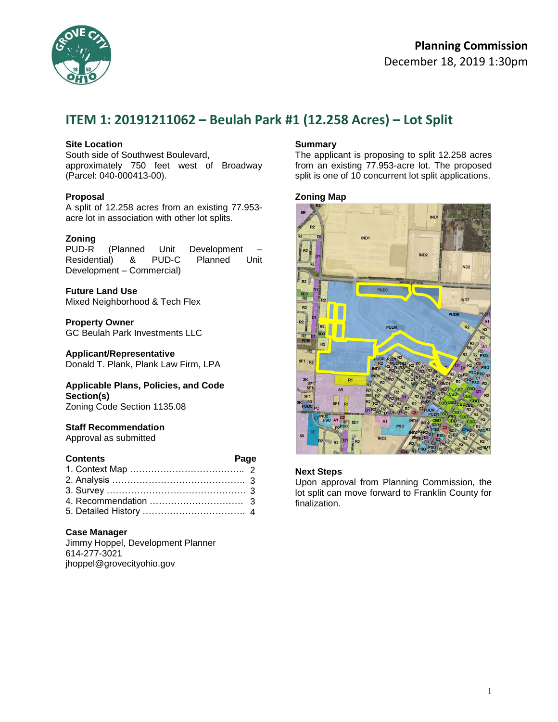

# **ITEM 1: 20191211062 – Beulah Park #1 (12.258 Acres) – Lot Split**

### **Site Location**

South side of Southwest Boulevard, approximately 750 feet west of Broadway (Parcel: 040-000413-00).

### **Proposal**

A split of 12.258 acres from an existing 77.953 acre lot in association with other lot splits.

#### **Zoning**

PUD-R (Planned Unit Development Residential) & PUD-C Planned Unit Development – Commercial)

**Future Land Use** Mixed Neighborhood & Tech Flex

#### **Property Owner** GC Beulah Park Investments LLC

#### **Applicant/Representative**

Donald T. Plank, Plank Law Firm, LPA

#### **Applicable Plans, Policies, and Code Section(s)** Zoning Code Section 1135.08

### **Staff Recommendation**

Approval as submitted

| <b>Page</b><br><b>Contents</b> |  |
|--------------------------------|--|
|                                |  |
|                                |  |
|                                |  |
|                                |  |
|                                |  |

### **Case Manager**

Jimmy Hoppel, Development Planner 614-277-3021 jhoppel@grovecityohio.gov

### **Summary**

The applicant is proposing to split 12.258 acres from an existing 77.953-acre lot. The proposed split is one of 10 concurrent lot split applications.

### **Zoning Map**



### **Next Steps**

Upon approval from Planning Commission, the lot split can move forward to Franklin County for finalization.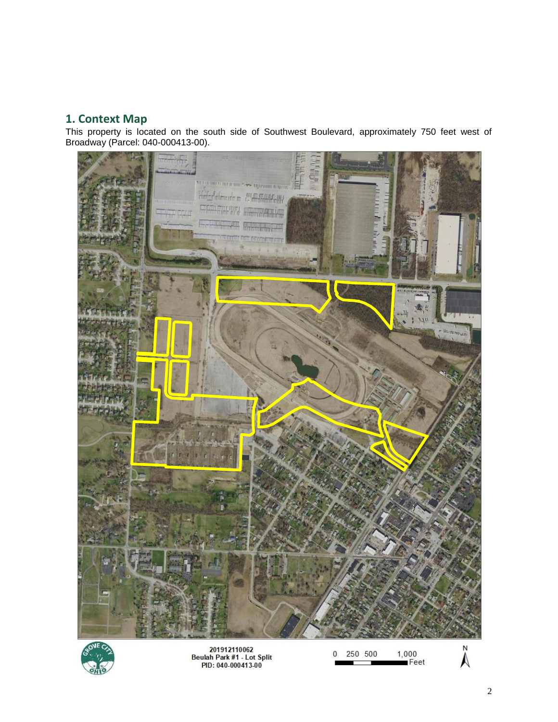# **1. Context Map**

This property is located on the south side of Southwest Boulevard, approximately 750 feet west of Broadway (Parcel: 040-000413-00).





201912110062<br>Beulah Park #1 - Lot Split<br>PID: 040-000413-00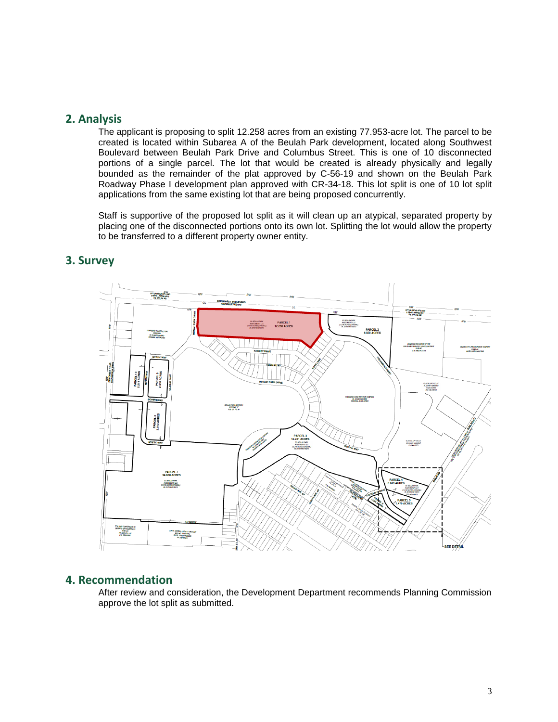### **2. Analysis**

The applicant is proposing to split 12.258 acres from an existing 77.953-acre lot. The parcel to be created is located within Subarea A of the Beulah Park development, located along Southwest Boulevard between Beulah Park Drive and Columbus Street. This is one of 10 disconnected portions of a single parcel. The lot that would be created is already physically and legally bounded as the remainder of the plat approved by C-56-19 and shown on the Beulah Park Roadway Phase I development plan approved with CR-34-18. This lot split is one of 10 lot split applications from the same existing lot that are being proposed concurrently.

Staff is supportive of the proposed lot split as it will clean up an atypical, separated property by placing one of the disconnected portions onto its own lot. Splitting the lot would allow the property to be transferred to a different property owner entity.



## **3. Survey**

### **4. Recommendation**

After review and consideration, the Development Department recommends Planning Commission approve the lot split as submitted.